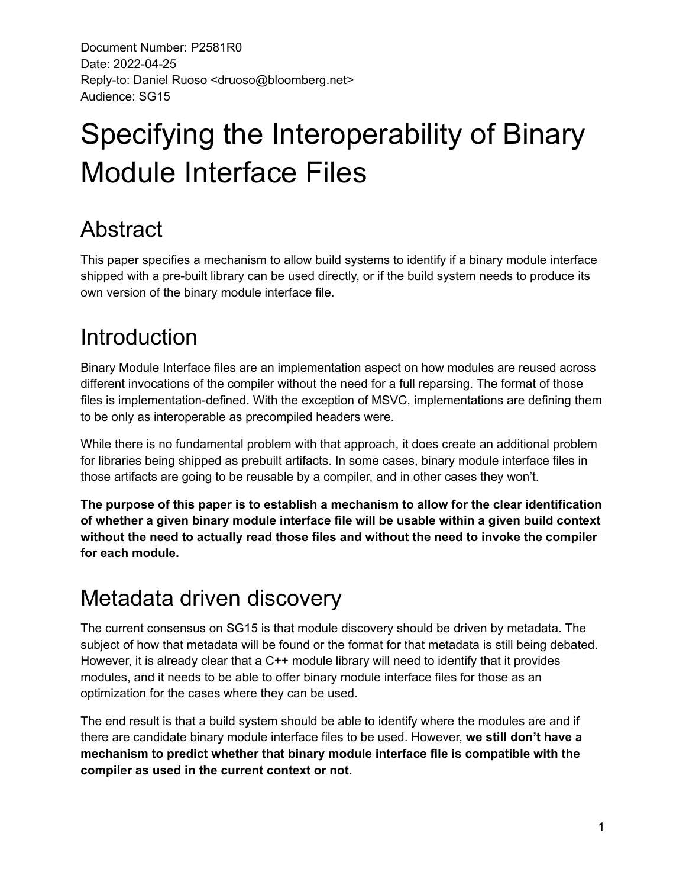Document Number: P2581R0 Date: 2022-04-25 Reply-to: Daniel Ruoso <druoso@bloomberg.net> Audience: SG15

# Specifying the Interoperability of Binary Module Interface Files

### Abstract

This paper specifies a mechanism to allow build systems to identify if a binary module interface shipped with a pre-built library can be used directly, or if the build system needs to produce its own version of the binary module interface file.

### **Introduction**

Binary Module Interface files are an implementation aspect on how modules are reused across different invocations of the compiler without the need for a full reparsing. The format of those files is implementation-defined. With the exception of MSVC, implementations are defining them to be only as interoperable as precompiled headers were.

While there is no fundamental problem with that approach, it does create an additional problem for libraries being shipped as prebuilt artifacts. In some cases, binary module interface files in those artifacts are going to be reusable by a compiler, and in other cases they won't.

**The purpose of this paper is to establish a mechanism to allow for the clear identification of whether a given binary module interface file will be usable within a given build context without the need to actually read those files and without the need to invoke the compiler for each module.**

### Metadata driven discovery

The current consensus on SG15 is that module discovery should be driven by metadata. The subject of how that metadata will be found or the format for that metadata is still being debated. However, it is already clear that a C++ module library will need to identify that it provides modules, and it needs to be able to offer binary module interface files for those as an optimization for the cases where they can be used.

The end result is that a build system should be able to identify where the modules are and if there are candidate binary module interface files to be used. However, **we still don't have a mechanism to predict whether that binary module interface file is compatible with the compiler as used in the current context or not**.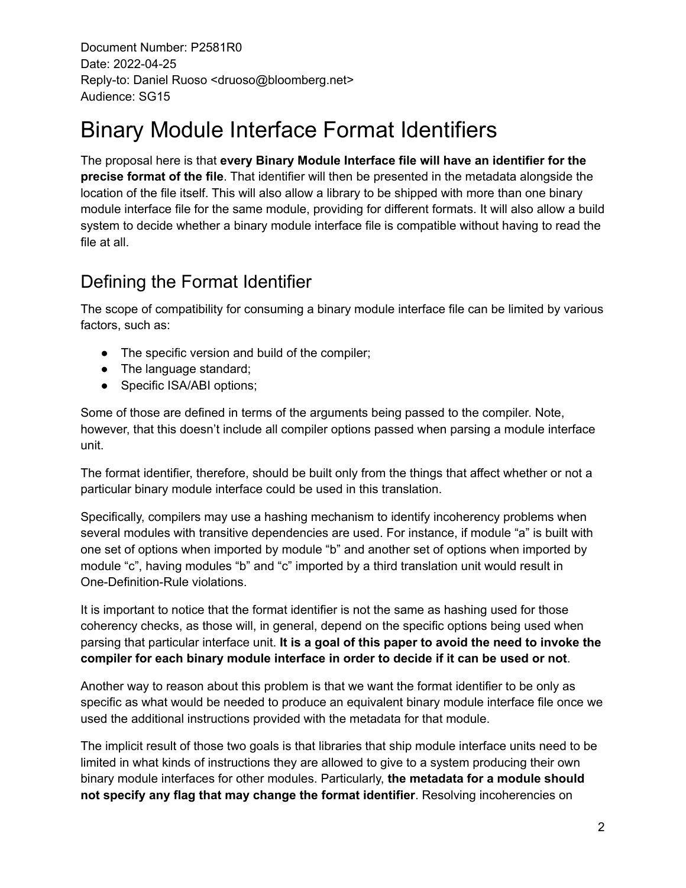Document Number: P2581R0 Date: 2022-04-25 Reply-to: Daniel Ruoso <druoso@bloomberg.net> Audience: SG15

## Binary Module Interface Format Identifiers

The proposal here is that **every Binary Module Interface file will have an identifier for the precise format of the file**. That identifier will then be presented in the metadata alongside the location of the file itself. This will also allow a library to be shipped with more than one binary module interface file for the same module, providing for different formats. It will also allow a build system to decide whether a binary module interface file is compatible without having to read the file at all.

#### Defining the Format Identifier

The scope of compatibility for consuming a binary module interface file can be limited by various factors, such as:

- The specific version and build of the compiler;
- The language standard;
- Specific ISA/ABI options;

Some of those are defined in terms of the arguments being passed to the compiler. Note, however, that this doesn't include all compiler options passed when parsing a module interface unit.

The format identifier, therefore, should be built only from the things that affect whether or not a particular binary module interface could be used in this translation.

Specifically, compilers may use a hashing mechanism to identify incoherency problems when several modules with transitive dependencies are used. For instance, if module "a" is built with one set of options when imported by module "b" and another set of options when imported by module "c", having modules "b" and "c" imported by a third translation unit would result in One-Definition-Rule violations.

It is important to notice that the format identifier is not the same as hashing used for those coherency checks, as those will, in general, depend on the specific options being used when parsing that particular interface unit. **It is a goal of this paper to avoid the need to invoke the compiler for each binary module interface in order to decide if it can be used or not**.

Another way to reason about this problem is that we want the format identifier to be only as specific as what would be needed to produce an equivalent binary module interface file once we used the additional instructions provided with the metadata for that module.

The implicit result of those two goals is that libraries that ship module interface units need to be limited in what kinds of instructions they are allowed to give to a system producing their own binary module interfaces for other modules. Particularly, **the metadata for a module should not specify any flag that may change the format identifier**. Resolving incoherencies on